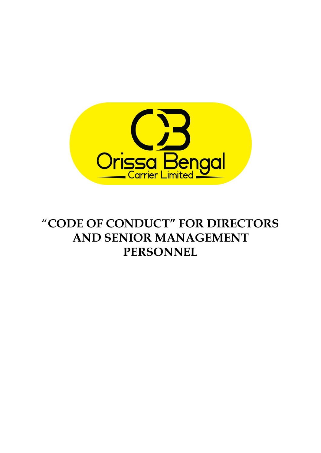

# "**CODE OF CONDUCT" FOR DIRECTORS AND SENIOR MANAGEMENT PERSONNEL**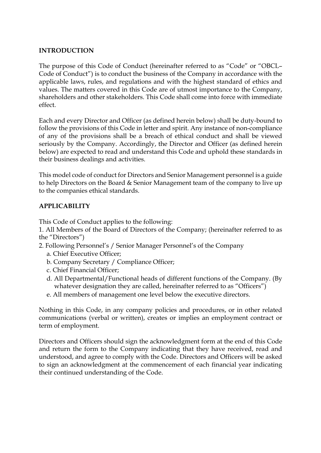## **INTRODUCTION**

The purpose of this Code of Conduct (hereinafter referred to as "Code" or "OBCL– Code of Conduct") is to conduct the business of the Company in accordance with the applicable laws, rules, and regulations and with the highest standard of ethics and values. The matters covered in this Code are of utmost importance to the Company, shareholders and other stakeholders. This Code shall come into force with immediate effect.

Each and every Director and Officer (as defined herein below) shall be duty-bound to follow the provisions of this Code in letter and spirit. Any instance of non-compliance of any of the provisions shall be a breach of ethical conduct and shall be viewed seriously by the Company. Accordingly, the Director and Officer (as defined herein below) are expected to read and understand this Code and uphold these standards in their business dealings and activities.

This model code of conduct for Directors and Senior Management personnel is a guide to help Directors on the Board & Senior Management team of the company to live up to the companies ethical standards.

# **APPLICABILITY**

This Code of Conduct applies to the following:

1. All Members of the Board of Directors of the Company; (hereinafter referred to as the "Directors")

2. Following Personnel's / Senior Manager Personnel's of the Company

- a. Chief Executive Officer;
- b. Company Secretary / Compliance Officer;
- c. Chief Financial Officer;
- d. All Departmental/Functional heads of different functions of the Company. (By whatever designation they are called, hereinafter referred to as "Officers")
- e. All members of management one level below the executive directors.

Nothing in this Code, in any company policies and procedures, or in other related communications (verbal or written), creates or implies an employment contract or term of employment.

Directors and Officers should sign the acknowledgment form at the end of this Code and return the form to the Company indicating that they have received, read and understood, and agree to comply with the Code. Directors and Officers will be asked to sign an acknowledgment at the commencement of each financial year indicating their continued understanding of the Code.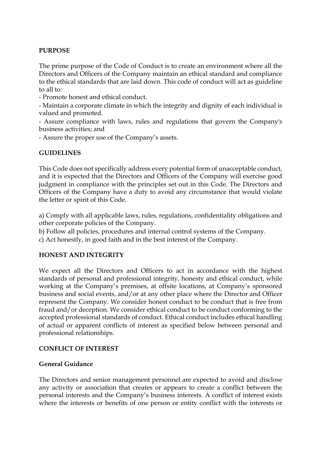# **PURPOSE**

The prime purpose of the Code of Conduct is to create an environment where all the Directors and Officers of the Company maintain an ethical standard and compliance to the ethical standards that are laid down. This code of conduct will act as guideline to all to:

- Promote honest and ethical conduct.

- Maintain a corporate climate in which the integrity and dignity of each individual is valued and promoted.

- Assure compliance with laws, rules and regulations that govern the Company's business activities; and

- Assure the proper use of the Company's assets.

## **GUIDELINES**

This Code does not specifically address every potential form of unacceptable conduct, and it is expected that the Directors and Officers of the Company will exercise good judgment in compliance with the principles set out in this Code. The Directors and Officers of the Company have a duty to avoid any circumstance that would violate the letter or spirit of this Code.

a) Comply with all applicable laws, rules, regulations, confidentiality obligations and other corporate policies of the Company.

b) Follow all policies, procedures and internal control systems of the Company.

c) Act honestly, in good faith and in the best interest of the Company.

## **HONEST AND INTEGRITY**

We expect all the Directors and Officers to act in accordance with the highest standards of personal and professional integrity, honesty and ethical conduct, while working at the Company's premises, at offsite locations, at Company's sponsored business and social events, and/or at any other place where the Director and Officer represent the Company. We consider honest conduct to be conduct that is free from fraud and/or deception. We consider ethical conduct to be conduct conforming to the accepted professional standards of conduct. Ethical conduct includes ethical handling of actual or apparent conflicts of interest as specified below between personal and professional relationships.

## **CONFLICT OF INTEREST**

## **General Guidance**

The Directors and senior management personnel are expected to avoid and disclose any activity or association that creates or appears to create a conflict between the personal interests and the Company's business interests. A conflict of interest exists where the interests or benefits of one person or entity conflict with the interests or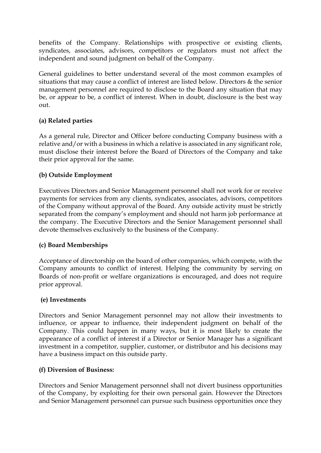benefits of the Company. Relationships with prospective or existing clients, syndicates, associates, advisors, competitors or regulators must not affect the independent and sound judgment on behalf of the Company.

General guidelines to better understand several of the most common examples of situations that may cause a conflict of interest are listed below. Directors & the senior management personnel are required to disclose to the Board any situation that may be, or appear to be, a conflict of interest. When in doubt, disclosure is the best way out.

# **(a) Related parties**

As a general rule, Director and Officer before conducting Company business with a relative and/or with a business in which a relative is associated in any significant role, must disclose their interest before the Board of Directors of the Company and take their prior approval for the same.

# **(b) Outside Employment**

Executives Directors and Senior Management personnel shall not work for or receive payments for services from any clients, syndicates, associates, advisors, competitors of the Company without approval of the Board. Any outside activity must be strictly separated from the company's employment and should not harm job performance at the company. The Executive Directors and the Senior Management personnel shall devote themselves exclusively to the business of the Company.

# **(c) Board Memberships**

Acceptance of directorship on the board of other companies, which compete, with the Company amounts to conflict of interest. Helping the community by serving on Boards of non-profit or welfare organizations is encouraged, and does not require prior approval.

# **(e) Investments**

Directors and Senior Management personnel may not allow their investments to influence, or appear to influence, their independent judgment on behalf of the Company. This could happen in many ways, but it is most likely to create the appearance of a conflict of interest if a Director or Senior Manager has a significant investment in a competitor, supplier, customer, or distributor and his decisions may have a business impact on this outside party.

# **(f) Diversion of Business:**

Directors and Senior Management personnel shall not divert business opportunities of the Company, by exploiting for their own personal gain. However the Directors and Senior Management personnel can pursue such business opportunities once they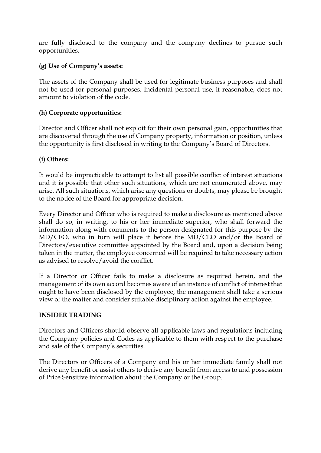are fully disclosed to the company and the company declines to pursue such opportunities.

# **(g) Use of Company's assets:**

The assets of the Company shall be used for legitimate business purposes and shall not be used for personal purposes. Incidental personal use, if reasonable, does not amount to violation of the code.

# **(h) Corporate opportunities:**

Director and Officer shall not exploit for their own personal gain, opportunities that are discovered through the use of Company property, information or position, unless the opportunity is first disclosed in writing to the Company's Board of Directors.

# **(i) Others:**

It would be impracticable to attempt to list all possible conflict of interest situations and it is possible that other such situations, which are not enumerated above, may arise. All such situations, which arise any questions or doubts, may please be brought to the notice of the Board for appropriate decision.

Every Director and Officer who is required to make a disclosure as mentioned above shall do so, in writing, to his or her immediate superior, who shall forward the information along with comments to the person designated for this purpose by the MD/CEO, who in turn will place it before the MD/CEO and/or the Board of Directors/executive committee appointed by the Board and, upon a decision being taken in the matter, the employee concerned will be required to take necessary action as advised to resolve/avoid the conflict.

If a Director or Officer fails to make a disclosure as required herein, and the management of its own accord becomes aware of an instance of conflict of interest that ought to have been disclosed by the employee, the management shall take a serious view of the matter and consider suitable disciplinary action against the employee.

# **INSIDER TRADING**

Directors and Officers should observe all applicable laws and regulations including the Company policies and Codes as applicable to them with respect to the purchase and sale of the Company's securities.

The Directors or Officers of a Company and his or her immediate family shall not derive any benefit or assist others to derive any benefit from access to and possession of Price Sensitive information about the Company or the Group.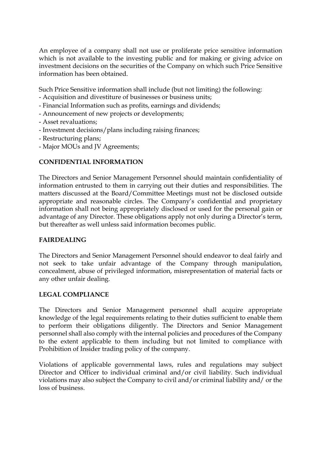An employee of a company shall not use or proliferate price sensitive information which is not available to the investing public and for making or giving advice on investment decisions on the securities of the Company on which such Price Sensitive information has been obtained.

Such Price Sensitive information shall include (but not limiting) the following:

- Acquisition and divestiture of businesses or business units;
- Financial Information such as profits, earnings and dividends;
- Announcement of new projects or developments;
- Asset revaluations;
- Investment decisions/plans including raising finances;
- Restructuring plans;
- Major MOUs and JV Agreements;

## **CONFIDENTIAL INFORMATION**

The Directors and Senior Management Personnel should maintain confidentiality of information entrusted to them in carrying out their duties and responsibilities. The matters discussed at the Board/Committee Meetings must not be disclosed outside appropriate and reasonable circles. The Company's confidential and proprietary information shall not being appropriately disclosed or used for the personal gain or advantage of any Director. These obligations apply not only during a Director's term, but thereafter as well unless said information becomes public.

## **FAIRDEALING**

The Directors and Senior Management Personnel should endeavor to deal fairly and not seek to take unfair advantage of the Company through manipulation, concealment, abuse of privileged information, misrepresentation of material facts or any other unfair dealing.

## **LEGAL COMPLIANCE**

The Directors and Senior Management personnel shall acquire appropriate knowledge of the legal requirements relating to their duties sufficient to enable them to perform their obligations diligently. The Directors and Senior Management personnel shall also comply with the internal policies and procedures of the Company to the extent applicable to them including but not limited to compliance with Prohibition of Insider trading policy of the company.

Violations of applicable governmental laws, rules and regulations may subject Director and Officer to individual criminal and/or civil liability. Such individual violations may also subject the Company to civil and/or criminal liability and/ or the loss of business.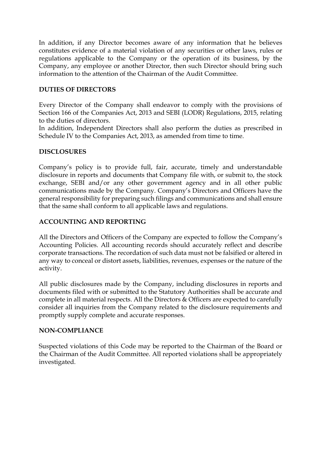In addition, if any Director becomes aware of any information that he believes constitutes evidence of a material violation of any securities or other laws, rules or regulations applicable to the Company or the operation of its business, by the Company, any employee or another Director, then such Director should bring such information to the attention of the Chairman of the Audit Committee.

## **DUTIES OF DIRECTORS**

Every Director of the Company shall endeavor to comply with the provisions of Section 166 of the Companies Act, 2013 and SEBI (LODR) Regulations, 2015, relating to the duties of directors.

In addition, Independent Directors shall also perform the duties as prescribed in Schedule IV to the Companies Act, 2013, as amended from time to time.

## **DISCLOSURES**

Company's policy is to provide full, fair, accurate, timely and understandable disclosure in reports and documents that Company file with, or submit to, the stock exchange, SEBI and/or any other government agency and in all other public communications made by the Company. Company's Directors and Officers have the general responsibility for preparing such filings and communications and shall ensure that the same shall conform to all applicable laws and regulations.

# **ACCOUNTING AND REPORTING**

All the Directors and Officers of the Company are expected to follow the Company's Accounting Policies. All accounting records should accurately reflect and describe corporate transactions. The recordation of such data must not be falsified or altered in any way to conceal or distort assets, liabilities, revenues, expenses or the nature of the activity.

All public disclosures made by the Company, including disclosures in reports and documents filed with or submitted to the Statutory Authorities shall be accurate and complete in all material respects. All the Directors & Officers are expected to carefully consider all inquiries from the Company related to the disclosure requirements and promptly supply complete and accurate responses.

## **NON-COMPLIANCE**

Suspected violations of this Code may be reported to the Chairman of the Board or the Chairman of the Audit Committee. All reported violations shall be appropriately investigated.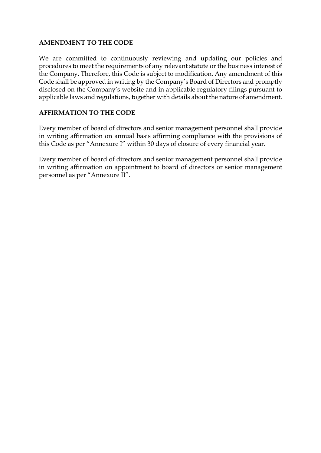## **AMENDMENT TO THE CODE**

We are committed to continuously reviewing and updating our policies and procedures to meet the requirements of any relevant statute or the business interest of the Company. Therefore, this Code is subject to modification. Any amendment of this Code shall be approved in writing by the Company's Board of Directors and promptly disclosed on the Company's website and in applicable regulatory filings pursuant to applicable laws and regulations, together with details about the nature of amendment.

# **AFFIRMATION TO THE CODE**

Every member of board of directors and senior management personnel shall provide in writing affirmation on annual basis affirming compliance with the provisions of this Code as per "Annexure I" within 30 days of closure of every financial year.

Every member of board of directors and senior management personnel shall provide in writing affirmation on appointment to board of directors or senior management personnel as per "Annexure II".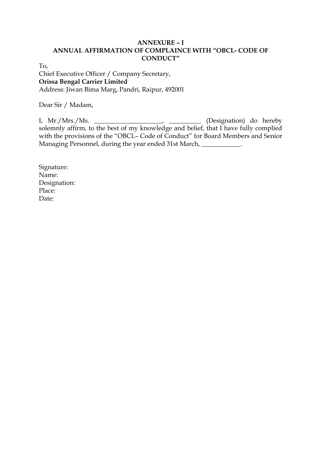## **ANNEXURE – I ANNUAL AFFIRMATION OF COMPLAINCE WITH "OBCL- CODE OF CONDUCT"**

To,

Chief Executive Officer / Company Secretary, **Orissa Bengal Carrier Limited** Address: Jiwan Bima Marg, Pandri, Raipur, 492001

Dear Sir / Madam,

I, Mr./Mrs./Ms. \_\_\_\_\_\_\_\_\_\_\_\_\_\_\_\_\_\_\_\_\_, \_\_\_\_\_\_\_\_\_\_ (Designation) do hereby solemnly affirm, to the best of my knowledge and belief, that I have fully complied with the provisions of the "OBCL– Code of Conduct" for Board Members and Senior Managing Personnel, during the year ended 31st March, \_\_\_\_\_\_\_\_\_\_\_\_\_.

Signature: Name: Designation: Place: Date: